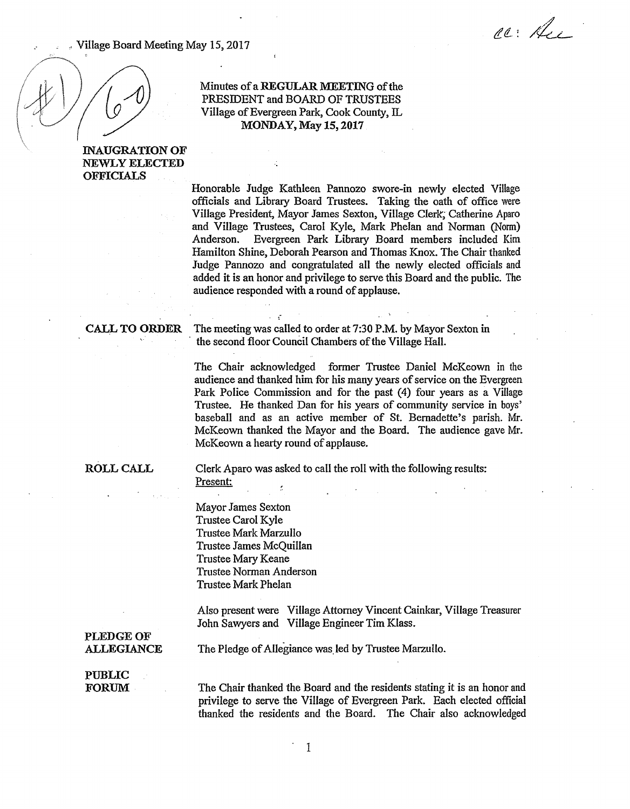Village Board Meeting May 15, 2017

ac: Au

# Minutes of a REGULAR MEETING of the PRESIDENT and BOARD OF TRUSTEES Village of Evergreen Park, Cook County, IL MONDAY, May 15, 2017

# INAUGRATION OF NEWLY ELECTED OFFICIALS

Honorable Judge Kathleen Pannozo swore-in newly elected Village officials and Library Board Trustees. Taking the oath of office were Village President, Mayor James Sexton, Village Clerk; Catherine Aparo and Village Trustees, Carol Kyle, Mark Phelan and Norman (Norm) Anderson. Evergreen Park Library Board members included Kim Hamilton Shine, Deborah Pearson and Thomas Knox. The Chair thanked Judge Pannozo and congratulated all the newly elected officials and added it is an honor and privilege to serve this Board and the public. The audience responded with a round of applause.

CALL TO ORDER The meeting was called to order at 7:30 P.M. by Mayor Sexton in the second floor Council Chambers of the Village Hall.

> The Chair acknowledged former Trustee Daniel McKeown in the audience and thanked him for his many years of service on the Evergreen Park Police Commission and for the past (4) four years as a Village Trustee. He thanked Dan for his years of community service in boys' baseball and as an active member of St. Bernadette's parish. Mr. McKeown thanked the Mayor and the Board. The audience gave Mr. McKeown a hearty round of applause.

## ROLL CALL

Clerk Aparo was asked to call the roll with the following results: Present:  $\tilde{z}$ 

Mayor James Sexton Trustee Carol Kyle Trustee Mark Marzullo Trustee James McQuillan Trustee Mary Keane Trustee Norman Anderson Trustee Mark Phelan

Also present were Village Attorney Vincent Cainkar, Village Treasurer John Sawyers and Village Engineer Tim Klass.

PLEDGE OF ALLEGIANCE

The Pledge of Allegiance was.led by Trustee Marzullo.

## PUBLIC FORUM

The Chair thanked the Board and the residents stating it is an honor and privilege to serve the Village of Evergreen Park. Each elected official thanked the residents and the Board. The Chair also acknowledged

1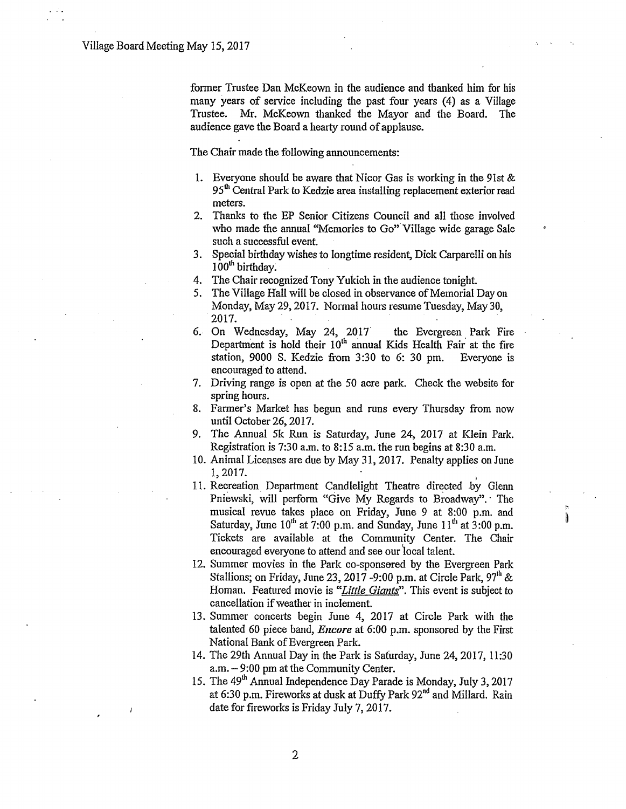former Trustee Dan McKeown in the audience and thanked him for his many years of service including the past four years (4) as a Village Trustee. Mr. McKeown thanked the Mayor and the Board. The audience gave the Board a hearty round of applause.

The Chair made the following announcements:

- 1. Everyone should be aware that Nicor Gas is working in the 9lst & 95<sup>th</sup> Central Park to Kedzie area installing replacement exterior read meters.
- 2. Thanks to the EP Senior Citizens Council and all those involved who made the annual "Memories to Go" Village wide garage Sale such a successful event.
- 3. Special birthday wishes to longtime resident, Dick Carparelli on his 100<sup>th</sup> birthday.
- 4. The Chair recognized Tony Yukich in the audience tonight.
- 5. The Village Hall will be closed in observance of Memorial Day on Monday, May 29, 2017. Normal hours resume Tuesday, May 30, 2017.
- 6. On Wednesday, May 24, 2017 the Evergreen Park Fire Department is hold their  $10<sup>th</sup>$  annual Kids Health Fair at the fire station, 9000 S. Kedzie from 3:30 to 6: 30 pm. Everyone is encouraged to attend.
- 7. Driving range is open at the 50 acre park. Check the website for spring hours.
- 8. Farmer's Market has begun and runs every Thursday from now until October 26, 2017.
- 9. The Annual 5k Run is Saturday, June 24, 2017 at Klein Park. Registration is 7:30 a.m. to 8:15 a.m. the run begins at 8:30 a.m.
- 10. Animal Licenses are due by May 31, 2017. Penalty applies on June  $1,2017.$
- 11. Recreation Department Candlelight Theatre directed by Glenn Pniewski, will perform "Give My Regards to Broadway". The musical revue takes place on Friday, June 9 at 8:00 p.m. and Saturday, June  $10^{th}$  at 7:00 p.m. and Sunday, June  $11^{th}$  at 3:00 p.m. Tickets are available at the Community Center. The Chair encouraged everyone to attend and see our 'local talent.
- 12. Summer movies in the Park co-sponsored by the Evergreen Park Stallions; on Friday, June 23, 2017 -9:00 p.m. at Circle Park, 97<sup>th</sup> & Homan. Featured movie is *"Little Giants".* This event is subject to cancellation if weather in inclement.
- 13. Summer concerts begin June 4, 2017 at Circle Park with the talented 60 piece band, *Encore* at 6:00 p.m. sponsored by the First National Bank of Evergreen Park.
- 14. The 29th Annual Day in the Park is Saturday, June 24, 2017, 11:30  $a.m. - 9:00$  pm at the Community Center.
- 15. The 49<sup>th</sup> Annual Independence Day Parade is Monday, July 3, 2017 at 6:30 p.m. Fireworks at dusk at Duffy Park  $92<sup>nd</sup>$  and Millard. Rain date for fireworks is Friday July 7, 2017.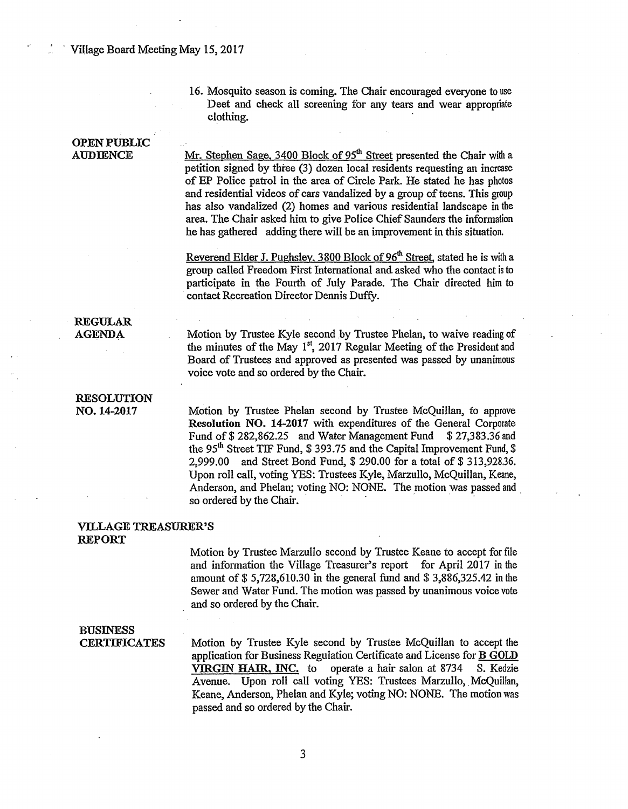### ' ' Village Board Meeting May 15,2017

16. Mosquito season is coming. The Chair encouraged everyone to use Deet and check all screening for any tears and wear appropriate clothing.

# OPEN PUBLIC AUDIENCE REGULAR AGENDA. RESOLUTION N0.14-2017 Mr. Stephen Sage, 3400 Block of 95<sup>th</sup> Street presented the Chair with a petition signed by three (3) dozen local residents requesting an increase of EP Police patrol in the area of Circle Park. He stated he has photos and residential videos of cars vandalized by a group of teens. This group has also vandalized (2) homes and various residential landscape in the area. The Chair asked him to give Police Chief Saunders the information he has gathered adding there will be an improvement in this situation. Reverend Elder J. Pughsley, 3800 Block of 96<sup>th</sup> Street, stated he is with a group called Freedom First International and asked who the contact is to participate in the Fourth of July Parade. The Chair directed him to contact Recreation Director Dennis Duffy. Motion by Trustee Kyle second by Trustee Phelan, to waive reading of the minutes of the May  $1<sup>st</sup>$ , 2017 Regular Meeting of the President and Board of Trustees and approved as presented was passed by unanimous voice vote and so ordered by the Chair. Motion by Trustee Phelan second by Trustee McQuillan, to approve Resolution NO. 14-2017 with expenditures of the General Corporate Fund of \$282,862.25 and Water Management Fund \$27,383.36 and the 95<sup>th</sup> Street TIF Fund, \$ 393.75 and the Capital Improvement Fund, \$ 2,999.00 and Street Bond Fund, \$ 290.00 for a total of \$ 313,928.36. Upon roll call, voting YES: Trustees Kyle, Marzullo, McQuillan, Keane, Anderson, and Phelan; voting NO: NONE. The motion was passed and . so ordered by the Chair. VILLAGE TREASURER'S REPORT Motion by Trustee Marzullo second by Trustee Keane to accept for file

and information the Village Treasurer's report for April 2017 in the amount of  $$ 5,728,610.30$  in the general fund and  $$ 3,886,325.42$  in the Sewer and Water Fund. The motion was passed by unanimous voice vote and so ordered by the Chair.

## BUSINESS **CERTIFICATES**

Motion by Trustee Kyle second by Trustee McQuillan to accept the. application for Business Regulation Certificate and License for B GOLD VIRGIN HAIR, INC. to operate a hair salon at 8734 S. Kedzie Avenue. Upon roll call voting YES: Trustees Marzullo, McQuillan, Keane, Anderson, Phelan and Kyle; voting NO: NONE. The motion was passed and so ordered by the Chair.

3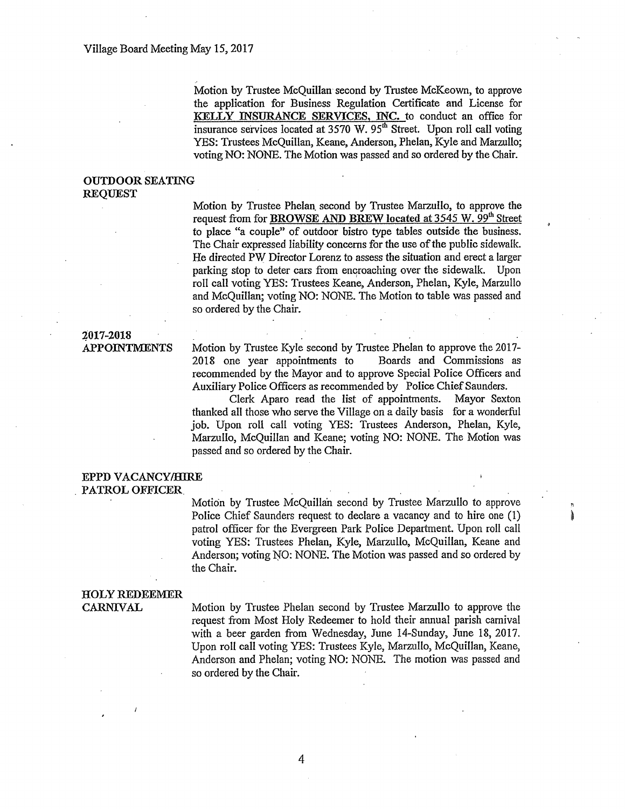Motion by Trustee McQuillan second by Trustee McKeown, to approve the application for Business Regulation Certificate and License for KELLY INSURANCE SERVICES, INC. to conduct an office for insurance services located at 3570 W. 95<sup>th</sup> Street. Upon roll call voting YES: Trustees McQuillan, Keane, Anderson, Phelan, Kyle and Marzullo; voting NO: NONE. The Motion was passed and so ordered by the Chair.

## OUTDOOR SEATING REQUEST

Motion by Trustee Phelan. second by Trustee Marzullo, to approve the request from for BROWSE AND BREW located at 3545 W. 99<sup>th</sup> Street to place "a couple" of outdoor bistro type tables outside the business. The Chair expressed liability concerns for the use of the public sidewalk. He directed PW Director Lorenz to assess the situation and erect a larger parking stop to deter cars from encroaching over the sidewalk. Upon roll call voting YES: Trustees Keane, Anderson, Phelan, Kyle, Marzullo and McQuillan; voting NO: NONE. The Motion to table was passed and so ordered by the Chair.

## ~017-2018 APPOINTMENTS

Motion by Trustee Kyle second by Trustee Phelan to approve the 2017- 2018 one year appointments to Boards and Commissions as recommended by the Mayor and to approve Special Police Officers and Auxiliary Police Officers as recommended by Police Chief Saunders.

Clerk Aparo read the list of appointments. Mayor Sexton thanked all those who serve the Village on a daily basis for a wonderful job. Upon roll call voting YES: Trustees Anderson, Phelan, Kyle, Marzullo, McQuillan and Keane; voting NO: NONE. The Motion was passed and so ordered by the Chair.

## EPPD VACANCY/HIRE . PATROL OFFICER.

Motion by Trustee McQuillan second by Trustee Marzullo to approve Police Chief Saunders request to declare a vacancy and to hire one (1) patrol officer for the Evergreen Park Police Department. Upon roll call voting YES: Trustees Phelan, Kyle, Marzullo, McQuillan, Keane and Anderson; voting NO: NONE. The Motion was passed and so ordered by the Chair.

"

## HOLY REDEEMER CARNIVAL

Motion by Trustee Phelan second by Trustee Marzullo to approve the request from Most Holy Redeemer to hold their annual parish carnival with a beer garden from Wednesday, June 14-Sunday, June 18, 2017. Upon roll call voting YES: Trustees Kyle, Marzullo, McQuillan, Keane, Anderson and Phelan; voting NO: NONE. The motion was passed and so ordered by the Chair.